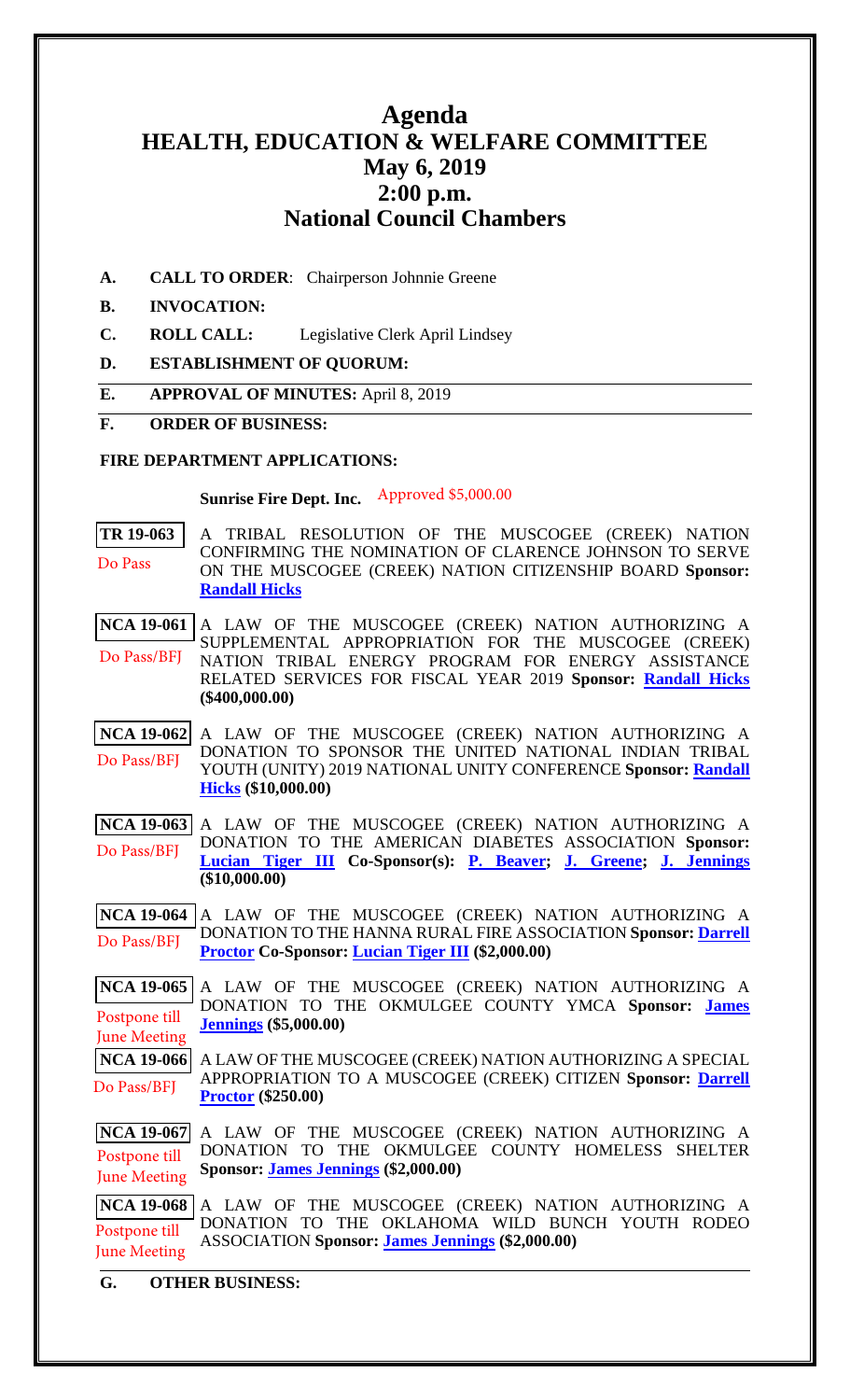# **Agenda HEALTH, EDUCATION & WELFARE COMMITTEE May 6, 2019 2:00 p.m. National Council Chambers**

**A. CALL TO ORDER**: Chairperson Johnnie Greene

#### **B. INVOCATION:**

- **C. ROLL CALL:** Legislative Clerk April Lindsey
- **D. ESTABLISHMENT OF QUORUM:**
- **E. APPROVAL OF MINUTES:** April 8, 2019

#### **F. ORDER OF BUSINESS:**

#### **FIRE DEPARTMENT APPLICATIONS:**

**Sunrise Fire Dept. Inc.** Approved \$5,000.00

**[TR 19-063](bills/19-063.pdf)** A TRIBAL RESOLUTION OF THE MUSCOGEE (CREEK) NATION CONFIRMING THE NOMINATION OF CLARENCE JOHNSON TO SERVE ON THE MUSCOGEE (CREEK) NATION CITIZENSHIP BOARD **Sponsor: [Randall Hicks](mailto:rhicks@mcn-nsn.gov)** Do Pass

**[NCA 19-061](bills/NCA19-061.pdf)** A LAW OF THE MUSCOGEE (CREEK) NATION AUTHORIZING A SUPPLEMENTAL APPROPRIATION FOR THE MUSCOGEE (CREEK) NATION TRIBAL ENERGY PROGRAM FOR ENERGY ASSISTANCE RELATED SERVICES FOR FISCAL YEAR 2019 **Sponsor: [Randall Hicks](mailto:rhicks@mcn-nsn.gov) (\$400,000.00)** Do Pass/BFJ

**[NCA 19-062](bills/NCA19-062.pdf)** A LAW OF THE MUSCOGEE (CREEK) NATION AUTHORIZING A DONATION TO SPONSOR THE UNITED NATIONAL INDIAN TRIBAL YOUTH (UNITY) 2019 NATIONAL UNITY CONFERENCE **Sponsor: [Randall](mailto:rhicks@mcn-nsn.gov)  [Hicks](mailto:rhicks@mcn-nsn.gov) (\$10,000.00)** Do Pass/BFJ

**[NCA 19-063](bills/NCA19-063.pdf)** A LAW OF THE MUSCOGEE (CREEK) NATION AUTHORIZING A DONATION TO THE AMERICAN DIABETES ASSOCIATION **Sponsor: [Lucian Tiger III](mailto:ltiger@mcn-nsn.gov) Co-Sponsor(s): [P. Beaver;](mailto:pbeaver@mcn-nsn.gov) [J. Greene;](mailto:jgreene@mcn-nsn.gov) [J. Jennings](mailto:jjennings@mcn-nsn.gov) (\$10,000.00)** Do Pass/BFJ

**[NCA 19-064](bills/NCA19-064.pdf)** A LAW OF THE MUSCOGEE (CREEK) NATION AUTHORIZING A DONATION TO THE HANNA RURAL FIRE ASSOCIATION **Sponsor[: Darrell](mailto:dproctor@mcnnc.com)  [Proctor](mailto:dproctor@mcnnc.com) Co-Sponsor: [Lucian Tiger III](mailto:ltiger@mcn-nsn.gov) (\$2,000.00)**  Do Pass/BFJ

**[NCA 19-065](bills/NCA19-065.pdf)** A LAW OF THE MUSCOGEE (CREEK) NATION AUTHORIZING A DONATION TO THE OKMULGEE COUNTY YMCA **Sponsor: [James](mailto:jjennings@mcn-nsn.gov)  [Jennings](mailto:jjennings@mcn-nsn.gov) (\$5,000.00)** Postpone till June Meeting

**[NCA 19-066](bills/NCA19-066.pdf)** A LAW OF THE MUSCOGEE (CREEK) NATION AUTHORIZING A SPECIAL APPROPRIATION TO A MUSCOGEE (CREEK) CITIZEN **Sponsor: [Darrell](mailto:dproctor@mcnnc.com)  [Proctor](mailto:dproctor@mcnnc.com) (\$250.00)**  Do Pass/BFJ

**[NCA 19-067](bills/NCA19-067.pdf)** A LAW OF THE MUSCOGEE (CREEK) NATION AUTHORIZING A DONATION TO THE OKMULGEE COUNTY HOMELESS SHELTER **Sponsor: [James Jennings](mailto:jjennings@mcn-nsn.gov) (\$2,000.00)**  Postpone till June Meeting

**[NCA 19-068](bills/NCA19-068.pdf)** A LAW OF THE MUSCOGEE (CREEK) NATION AUTHORIZING A DONATION TO THE OKLAHOMA WILD BUNCH YOUTH RODEO ASSOCIATION **Sponsor: [James Jennings](mailto:jjennings@mcn-nsn.gov) (\$2,000.00)** Postpone till June Meeting

**G. OTHER BUSINESS:**